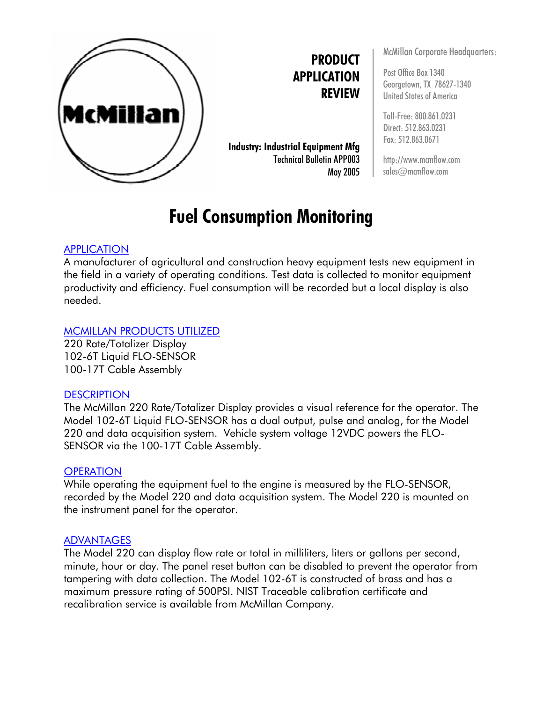

**PRODUCT APPLICATION REVIEW**

**Industry: Industrial Equipment Mfg** Technical Bulletin APP003 May 2005

# **Fuel Consumption Monitoring**

### APPLICATION

A manufacturer of agricultural and construction heavy equipment tests new equipment in the field in a variety of operating conditions. Test data is collected to monitor equipment productivity and efficiency. Fuel consumption will be recorded but a local display is also needed.

#### MCMILLAN PRODUCTS UTILIZED

220 Rate/Totalizer Display 102-6T Liquid FLO-SENSOR 100-17T Cable Assembly

#### **DESCRIPTION**

The McMillan 220 Rate/Totalizer Display provides a visual reference for the operator. The Model 102-6T Liquid FLO-SENSOR has a dual output, pulse and analog, for the Model 220 and data acquisition system. Vehicle system voltage 12VDC powers the FLO-SENSOR via the 100-17T Cable Assembly.

#### **OPERATION**

While operating the equipment fuel to the engine is measured by the FLO-SENSOR, recorded by the Model 220 and data acquisition system. The Model 220 is mounted on the instrument panel for the operator.

#### ADVANTAGES

The Model 220 can display flow rate or total in milliliters, liters or gallons per second, minute, hour or day. The panel reset button can be disabled to prevent the operator from tampering with data collection. The Model 102-6T is constructed of brass and has a maximum pressure rating of 500PSI. NIST Traceable calibration certificate and recalibration service is available from McMillan Company.

McMillan Corporate Headquarters:

Post Office Box 1340 Georgetown, TX 78627-1340 United States of America

Toll-Free: 800.861.0231 Direct: 512.863.0231 Fax: 512.863.0671

http://www.mcmflow.com sales@mcmflow.com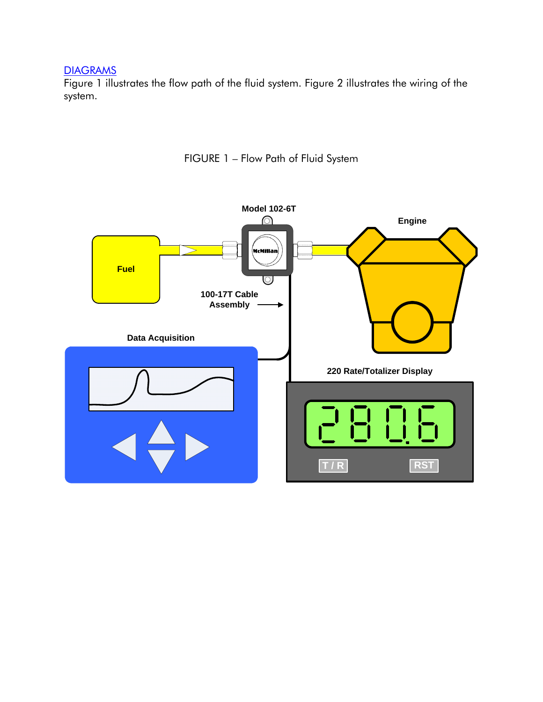## **DIAGRAMS**

Figure 1 illustrates the flow path of the fluid system. Figure 2 illustrates the wiring of the system.



FIGURE 1 – Flow Path of Fluid System